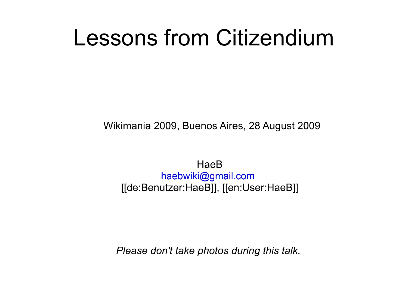# Lessons from Citizendium

Wikimania 2009, Buenos Aires, 28 August 2009

**HaeB** haebwiki@gmail.com [[de:Benutzer:HaeB]], [[en:User:HaeB]]

*Please don't take photos during this talk.*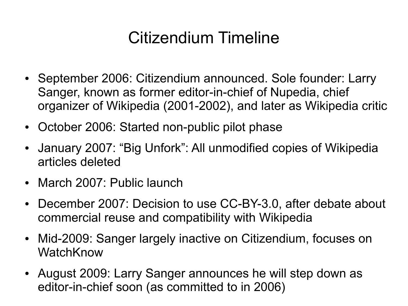## Citizendium Timeline

- September 2006: Citizendium announced. Sole founder: Larry Sanger, known as former editor-in-chief of Nupedia, chief organizer of Wikipedia (2001-2002), and later as Wikipedia critic
- October 2006: Started non-public pilot phase
- January 2007: "Big Unfork": All unmodified copies of Wikipedia articles deleted
- March 2007: Public launch
- December 2007: Decision to use CC-BY-3.0, after debate about commercial reuse and compatibility with Wikipedia
- Mid-2009: Sanger largely inactive on Citizendium, focuses on **[WatchKnow](file:///C:/Dokumente und Einstellungen/t/Eigene Dateien/bacz/)**
- August 2009: Larry Sanger announces he will step down as [editor-in-chief soon \(as committed to in 20](file:///C:/Dokumente und Einstellungen/t/Eigene Dateien/bacz/)06)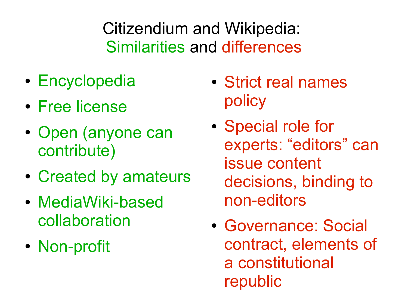Citizendium and Wikipedia: Similarities and differences

- Encyclopedia
- Free license
- Open (anyone can contribute)
- Created by amateurs
- MediaWiki-based collaboration
- Non-profit
- Strict real names policy
- Special role for experts: "editors" can issue content decisions, binding to non-editors
- Governance: Social contract, elements of a constitutional [republic](file:///C:/Dokumente und Einstellungen/t/Eigene Dateien/bacz/)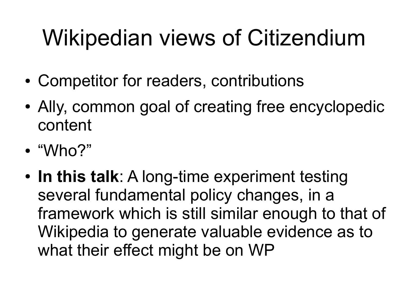# Wikipedian views of Citizendium

- Competitor for readers, contributions
- Ally, common goal of creating free encyclopedic content
- "Who?"
- In this talk: A long-time experiment testing several fundamental policy changes, in a framework which is still similar enough to that of Wikipedia to generate valuable evidence as to what their effect might be on WP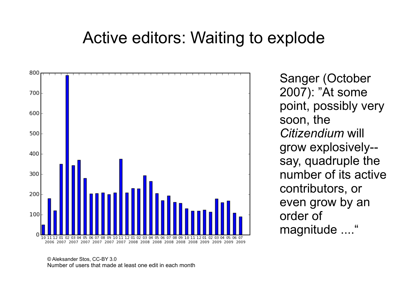## Active editors: Waiting to explode



Sanger (October 2007): "At some point, possibly very soon, the *Citizendium* will grow explosively- say, quadruple the number of its active contributors, or even grow by an order of magnitude ...."

© Aleksander Stos, CC-BY 3.0 [Number of users that made at least one edit in each month](file:///C:/Dokumente und Einstellungen/t/Eigene Dateien/bacz/)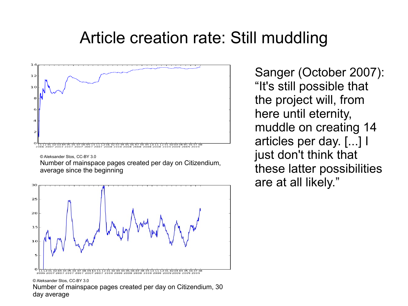## Article creation rate: Still muddling



Number of mainspace pages created per day on Citizendium, average since the beginning



© Aleksander Stos, CC-BY 3.0 Number of mainspace pages created per day on Citizendium, 30 d[ay average](file:///C:/Dokumente und Einstellungen/t/Eigene Dateien/bacz/)

Sanger (October 2007): "It's still possible that the project will, from here until eternity, muddle on creating 14 articles per day. [...] I just don't think that these latter possibilities are at all likely."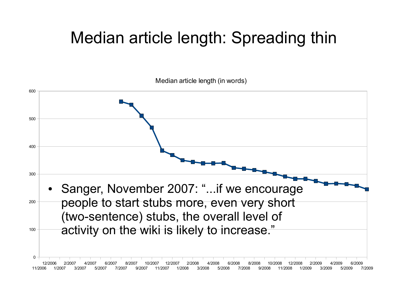## Median article length: Spreading thin

Median article length (in words)

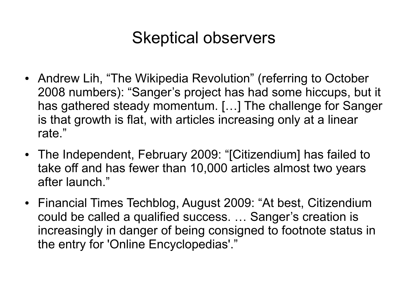## Skeptical observers

- Andrew Lih, "The Wikipedia Revolution" (referring to October 2008 numbers): "Sanger's project has had some hiccups, but it has gathered steady momentum. […] The challenge for Sanger is that growth is flat, with articles increasing only at a linear rate."
- The Independent, February 2009: "[Citizendium] has failed to take off and has fewer than 10,000 articles almost two years after launch."
- [Financial Times Techblog, August 2009: "At](file:///C:/Dokumente und Einstellungen/t/Eigene Dateien/bacz/) best, Citizendium could be called a qualified success. … Sanger's creation is increasingly in danger of being consigned to footnote status in [the entry for 'Online Encyclopedias'."](file:///C:/Dokumente und Einstellungen/t/Eigene Dateien/bacz/)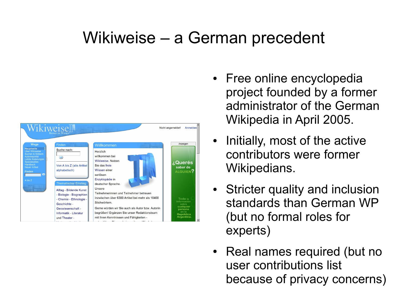## Wikiweise – a German precedent



- Free online encyclopedia project founded by a former administrator of the German Wikipedia in April 2005.
- Initially, most of the active contributors were former Wikipedians.
- Stricter quality and inclusion standards than German WP (but no formal roles for [experts\)](file:///C:/Dokumente und Einstellungen/t/Eigene Dateien/bacz/)
- Real names required (but no user contributions list because of privacy concerns)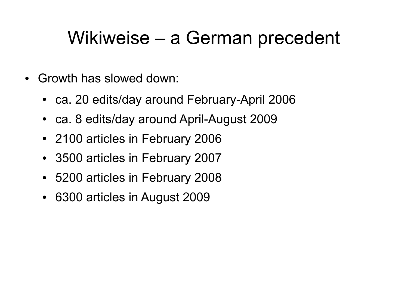## Wikiweise – a German precedent

- Growth has slowed down:
	- ca. 20 edits/day around February-April 2006
	- ca. 8 edits/day around April-August 2009
	- 2100 articles in February 2006
	- 3500 articles in February 2007
	- 5200 articles in February 2008
	- 6300 articles in August 2009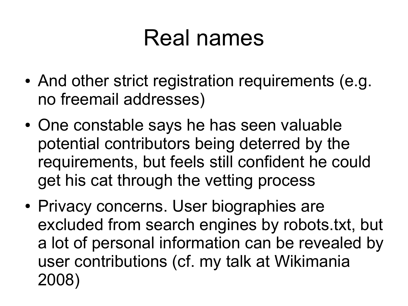# Real names

- And other strict registration requirements (e.g. no freemail addresses)
- One constable says he has seen valuable potential contributors being deterred by the requirements, but feels still confident he could get his cat through the vetting process
- Privacy concerns. User biographies are excluded from search engines by robots.txt, but a lot of personal information can be revealed by user contributions (cf. my talk at Wikimania [2008\)](file:///C:/Dokumente und Einstellungen/t/Eigene Dateien/bacz/)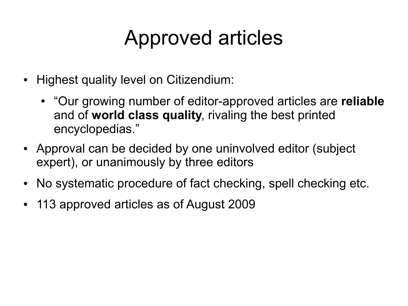# Approved articles

- Highest quality level on Citizendium:
	- "Our growing number of editor-approved articles are **reliable** and of **world class quality**, rivaling the best printed encyclopedias."
- Approval can be decided by one uninvolved editor (subject expert), or unanimously by three editors
- No systematic procedure of fact checking, spell checking etc.
- 113 approved articles as of August 2009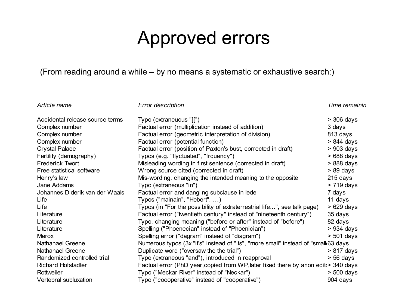## Approved errors

#### (From reading around a while – by no means a systematic or exhaustive search:)

*Article name Error description Error description Error in a proved version Time remaining in a proved version* 

| Accidental release source terms | Typo (extraneuous "[[")                                                                      | $>$ 306 days |  |  |
|---------------------------------|----------------------------------------------------------------------------------------------|--------------|--|--|
| Complex number                  | Factual error (multiplication instead of addition)                                           | 3 days       |  |  |
| Complex number                  | Factual error (geometric interpretation of division)                                         | 813 days     |  |  |
| Complex number                  | Factual error (potential function)                                                           | $> 844$ days |  |  |
| <b>Crystal Palace</b>           | Factual error (position of Paxton's bust, corrected in draft)                                | $>903$ days  |  |  |
| Fertility (demography)          | Typos (e.g. "flyctuated", "frquency")                                                        | $>688$ days  |  |  |
| <b>Frederick Twort</b>          | Misleading wording in first sentence (corrected in draft)                                    | $>888$ days  |  |  |
| Free statistical software       | Wrong source cited (corrected in draft)                                                      | $> 89$ days  |  |  |
| Henry's law                     | Mis-wording, changing the intended meaning to the opposite                                   | $215$ days   |  |  |
| Jane Addams                     | Typo (extraneous "in")                                                                       | $> 719$ days |  |  |
| Johannes Diderik van der Waals  | Factual error and dangling subclause in lede                                                 | 7 days       |  |  |
| Life                            | Typos ("mainain", "Hebert", )                                                                | 11 days      |  |  |
| Life                            | Typos (in "For the possibility of extraterrestrial life", see talk page)                     | $>629$ days  |  |  |
| Literature                      | Factual error ("twentieth century" instead of "nineteenth century")                          | 35 days      |  |  |
| Literature                      | Typo, changing meaning ("before or after" instead of "before")                               | 82 days      |  |  |
| Literature                      | Spelling ("Phoenecian" instead of "Phoenician")                                              | $>934$ days  |  |  |
| Merox                           | Spelling error ("dagram" instead of "diagram")                                               | $> 501$ days |  |  |
| <b>Nathanael Greene</b>         | Numerous typos (3x "it's" instead of "its", "more small" instead of "small 63 days           |              |  |  |
| Nathanael Greene                | Duplicate word ("oversaw the the trial")                                                     | $> 817$ days |  |  |
| Randomized controlled trial     | Typo (extraneous "and"), introduced in reapproval                                            | $> 56$ days  |  |  |
| <b>Richard Hofstadter</b>       | Factual error (PhD year, copied from WP, later fixed there by anon edit <a>&gt;</a> 340 days |              |  |  |
| Rottweiler                      | Typo ("Meckar River" instead of "Neckar")                                                    | $> 500$ days |  |  |
| Vertebral subluxation           | Typo ("coooperative" instead of "cooperative")                                               | 904 days     |  |  |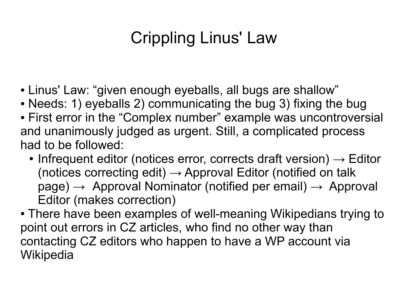## Crippling Linus' Law

- Linus' Law: "given enough eyeballs, all bugs are shallow"
- Needs: 1) eyeballs 2) communicating the bug 3) fixing the bug
- First error in the "Complex number" example was uncontroversial and unanimously judged as urgent. Still, a complicated process had to be followed:
	- Infrequent editor (notices error, corrects draft version)  $\rightarrow$  Editor (notices correcting edit)  $\rightarrow$  Approval Editor (notified on talk  $page) \rightarrow$  Approval Nominator (notified per email)  $\rightarrow$  Approval Editor (makes correction)
- T[here have been examples of well-m](file:///C:/Dokumente und Einstellungen/t/Eigene Dateien/bacz/)eaning Wikipedians trying to point out errors in CZ articles, who find no other way than co[ntacting CZ editors wh](file:///C:/Dokumente und Einstellungen/t/Eigene Dateien/bacz/)o happen to have a WP account via **[Wikipedia](file:///C:/Dokumente und Einstellungen/t/Eigene Dateien/bacz/)**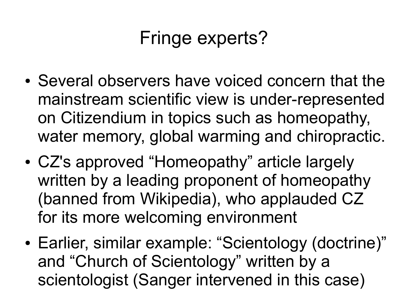## Fringe experts?

- Several observers have voiced concern that the mainstream scientific view is under-represented on Citizendium in topics such as homeopathy, water memory, global warming and chiropractic.
- CZ's approved "Homeopathy" article largely written by a leading proponent of homeopathy (banned from Wikipedia), who applauded CZ [for its more welcoming e](file:///C:/Dokumente und Einstellungen/t/Eigene Dateien/bacz/)nvironment
- Earlier, similar example: "Scientology (doctrine)" and "Church of Scientology" written by a [scientologist](file:///C:/Dokumente und Einstellungen/t/Eigene Dateien/bacz/) (Sanger intervened in this case)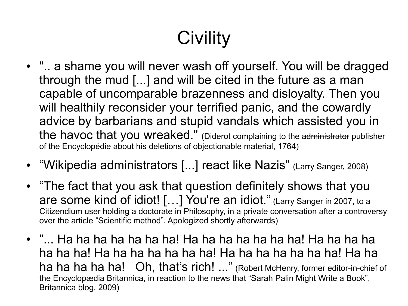# **Civility**

- ".. a shame you will never wash off yourself. You will be dragged through the mud [...] and will be cited in the future as a man capable of uncomparable brazenness and disloyalty. Then you will healthily reconsider your terrified panic, and the cowardly advice by barbarians and stupid vandals which assisted you in the havoc that you wreaked." (Diderot complaining to the administrator publisher of the Encyclopédie about his deletions of objectionable material, 1764)
- "Wikipedia administrators [...] react like Nazis" (Larry Sanger, 2008)
- "The fact that you ask that question definitely shows that you are some kind of idiot! […] You're an idiot." (Larry Sanger in 2007, to a Citizendium user holding a doctorate in Philosophy, in a private conversation after a controversy over the article "Scientific method". Apologized shortly afterwards)
- "... Ha ha ha ha ha ha! Ha ha ha ha ha ha! Ha ha ha ha [ha ha ha! Ha ha ha ha ha ha ha! Ha ha h](file:///C:/Dokumente und Einstellungen/t/Eigene Dateien/bacz/)a ha ha ha ha! Ha ha [ha ha ha ha ha! Oh, that's rich! ..."](file:///C:/Dokumente und Einstellungen/t/Eigene Dateien/bacz/) (Robert McHenry, former editor-in-chief of [the Encyclopædia Britannica, in reaction to the news](file:///C:/Dokumente und Einstellungen/t/Eigene Dateien/bacz/) that "Sarah Palin Might Write a Book", Britannica blog, 2009)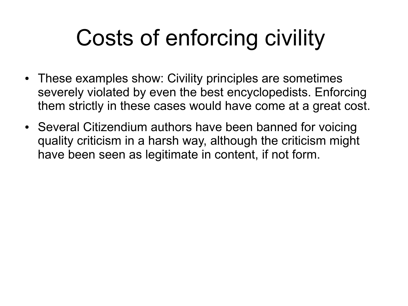# Costs of enforcing civility

- These examples show: Civility principles are sometimes severely violated by even the best encyclopedists. Enforcing them strictly in these cases would have come at a great cost.
- Several Citizendium authors have been banned for voicing quality criticism in a harsh way, although the criticism might have been seen as legitimate in content, if not form.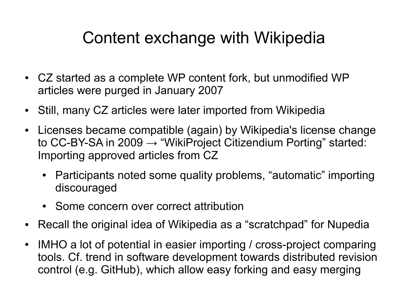## Content exchange with Wikipedia

- CZ started as a complete WP content fork, but unmodified WP articles were purged in January 2007
- Still, many CZ articles were later imported from Wikipedia
- Licenses became compatible (again) by Wikipedia's license change to CC-BY-SA in 2009  $\rightarrow$  "WikiProject Citizendium Porting" started: Importing approved articles from CZ
	- Participants noted some quality problems, "automatic" importing discouraged
	- [Some concern over correct attribution](file:///C:/Dokumente und Einstellungen/t/Eigene Dateien/bacz/)
- Recall the original idea of Wikipedia as a "scratchpad" for Nupedia
- IMHO a lot of potential in easier importing / cross-project comparing tools. Cf. trend in software development towards distributed revision control (e.g. GitHub), which allow easy forking and easy merging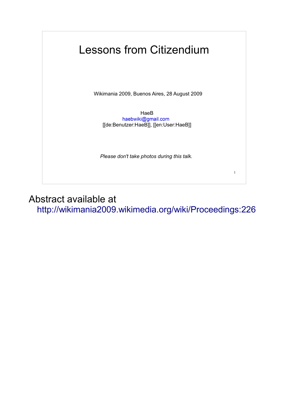### Lessons from Citizendium

Wikimania 2009, Buenos Aires, 28 August 2009

HaeB<br>haebwiki@gmail.com [[de:Benutzer:HaeB]], [[en:User:HaeB]]

*Please don't take photos during this talk.*

1

Abstract available at http://wikimania2009.wikimedia.org/wiki/Proceedings:226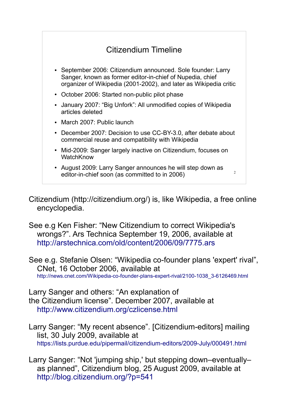

Citizendium (http://citizendium.org/) is, like Wikipedia, a free online encyclopedia.

See e.g Ken Fisher: "New Citizendium to correct Wikipedia's wrongs?". Ars Technica September 19, 2006, available at http://arstechnica.com/old/content/2006/09/7775.ars

See e.g. Stefanie Olsen: "Wikipedia co-founder plans 'expert' rival", CNet, 16 October 2006, available at http://news.cnet.com/Wikipedia-co-founder-plans-expert-rival/2100-1038\_3-6126469.html

Larry Sanger and others: "An explanation of the Citizendium license". December 2007, available at http://www.citizendium.org/czlicense.html

Larry Sanger: "My recent absence". [Citizendium-editors] mailing list, 30 July 2009, available at https://lists.purdue.edu/pipermail/citizendium-editors/2009-July/000491.html

Larry Sanger: "Not 'jumping ship,' but stepping down–eventually– as planned", Citizendium blog, 25 August 2009, available at http://blog.citizendium.org/?p=541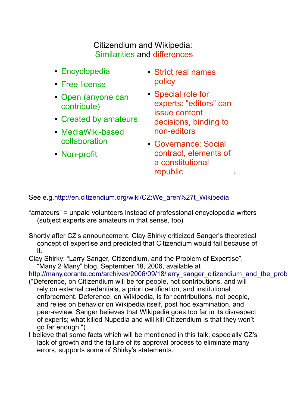

See e.g.http://en.citizendium.org/wiki/CZ:We\_aren%27t\_Wikipedia

- "amateurs" = unpaid volunteers instead of professional encyclopedia writers (subject experts are amateurs in that sense, too)
- Shortly after CZ's announcement, Clay Shirky criticized Sanger's theoretical concept of expertise and predicted that Citizendium would fail because of it.

Clay Shirky: "Larry Sanger, Citizendium, and the Problem of Expertise", "Many 2 Many" blog, September 18, 2006, available at

http://many.corante.com/archives/2006/09/18/larry\_sanger\_citizendium\_and\_the\_prob

- ("Deference, on Citizendium will be for people, not contributions, and will rely on external credentials, a priori certification, and institutional enforcement. Deference, on Wikipedia, is for contributions, not people, and relies on behavior on Wikipedia itself, post hoc examination, and peer-review. Sanger believes that Wikipedia goes too far in its disrespect of experts; what killed Nupedia and will kill Citizendium is that they won't go far enough.")
- I believe that some facts which will be mentioned in this talk, especially CZ's lack of growth and the failure of its approval process to eliminate many errors, supports some of Shirky's statements.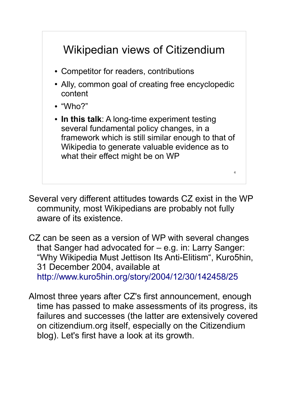

Several very different attitudes towards CZ exist in the WP community, most Wikipedians are probably not fully aware of its existence.

CZ can be seen as a version of WP with several changes that Sanger had advocated for – e.g. in: Larry Sanger: "Why Wikipedia Must Jettison Its Anti-Elitism", Kuro5hin, 31 December 2004, available at http://www.kuro5hin.org/story/2004/12/30/142458/25

Almost three years after CZ's first announcement, enough time has passed to make assessments of its progress, its failures and successes (the latter are extensively covered on citizendium.org itself, especially on the Citizendium blog). Let's first have a look at its growth.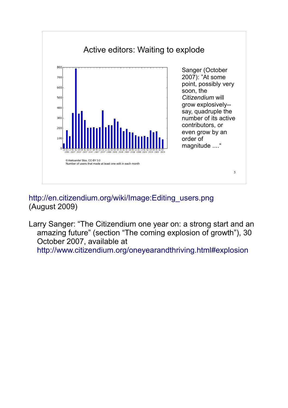

#### http://en.citizendium.org/wiki/Image:Editing\_users.png (August 2009)

Larry Sanger: "The Citizendium one year on: a strong start and an amazing future" (section "The coming explosion of growth"), 30 October 2007, available at http://www.citizendium.org/oneyearandthriving.html#explosion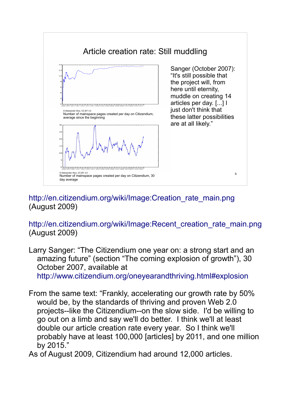

#### http://en.citizendium.org/wiki/Image:Creation\_rate\_main.png (August 2009)

http://en.citizendium.org/wiki/Image:Recent\_creation\_rate\_main.png (August 2009)

Larry Sanger: "The Citizendium one year on: a strong start and an amazing future" (section "The coming explosion of growth"), 30 October 2007, available at http://www.citizendium.org/oneyearandthriving.html#explosion

From the same text: "Frankly, accelerating our growth rate by 50% would be, by the standards of thriving and proven Web 2.0 projects--like the Citizendium--on the slow side. I'd be willing to go out on a limb and say we'll do better. I think we'll at least double our article creation rate every year. So I think we'll probably have at least 100,000 [articles] by 2011, and one million by 2015."

As of August 2009, Citizendium had around 12,000 articles.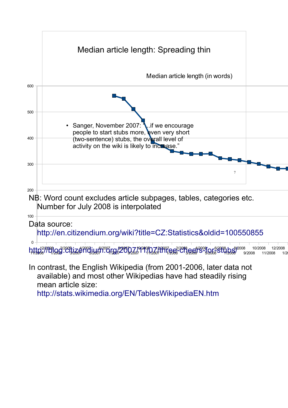

mean article size:

http://stats.wikimedia.org/EN/TablesWikipediaEN.htm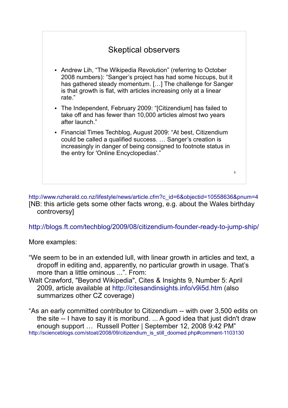| <b>Skeptical observers</b>                                                                                                                                                                                                                                                  |   |
|-----------------------------------------------------------------------------------------------------------------------------------------------------------------------------------------------------------------------------------------------------------------------------|---|
| • Andrew Lih, "The Wikipedia Revolution" (referring to October<br>2008 numbers): "Sanger's project has had some hiccups, but it<br>has gathered steady momentum. [] The challenge for Sanger<br>is that growth is flat, with articles increasing only at a linear<br>rate." |   |
| • The Independent, February 2009: "[Citizendium] has failed to<br>take off and has fewer than 10,000 articles almost two years<br>after launch."                                                                                                                            |   |
| • Financial Times Techblog, August 2009: "At best, Citizendium<br>could be called a qualified success.  Sanger's creation is<br>increasingly in danger of being consigned to footnote status in<br>the entry for 'Online Encyclopedias'."                                   |   |
|                                                                                                                                                                                                                                                                             | 8 |

http://www.nzherald.co.nz/lifestyle/news/article.cfm?c\_id=6&objectid=10558636&pnum=4 [NB: this article gets some other facts wrong, e.g. about the Wales birthday controversy]

http://blogs.ft.com/techblog/2009/08/citizendium-founder-ready-to-jump-ship/

More examples:

- "We seem to be in an extended lull, with linear growth in articles and text, a dropoff in editing and, apparently, no particular growth in usage. That's more than a little ominous ...". From:
- Walt Crawford, "Beyond Wikipedia", Cites & Insights 9, Number 5: April 2009, article available at http://citesandinsights.info/v9i5d.htm (also summarizes other CZ coverage)

"As an early committed contributor to Citizendium -- with over 3,500 edits on the site -- I have to say it is moribund. ... A good idea that just didn't draw enough support … Russell Potter | September 12, 2008 9:42 PM" http://scienceblogs.com/stoat/2008/09/citizendium\_is\_still\_doomed.php#comment-1103130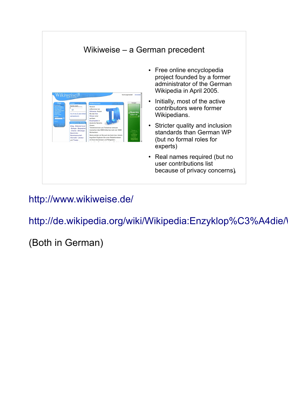

### http://www.wikiweise.de/

http://de.wikipedia.org/wiki/Wikipedia:Enzyklop%C3%A4die/

### (Both in German)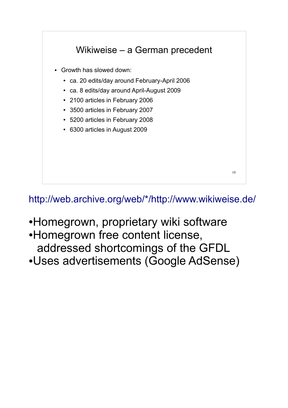

http://web.archive.org/web/\*/http://www.wikiweise.de/

- •Homegrown, proprietary wiki software
- •Homegrown free content license, addressed shortcomings of the GFDL
- ●Uses advertisements (Google AdSense)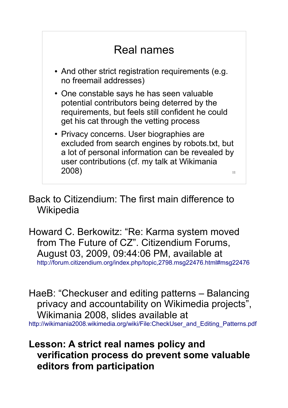

Back to Citizendium: The first main difference to **Wikipedia** 

Howard C. Berkowitz: "Re: Karma system moved from The Future of CZ". Citizendium Forums, August 03, 2009, 09:44:06 PM, available at http://forum.citizendium.org/index.php/topic,2798.msg22476.html#msg22476

HaeB: "Checkuser and editing patterns – Balancing privacy and accountability on Wikimedia projects", Wikimania 2008, slides available at http://wikimania2008.wikimedia.org/wiki/File:CheckUser\_and\_Editing\_Patterns.pdf

### **Lesson: A strict real names policy and verification process do prevent some valuable editors from participation**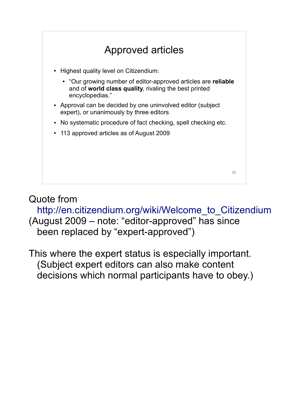

### Quote from

http://en.citizendium.org/wiki/Welcome\_to\_Citizendium (August 2009 – note: "editor-approved" has since been replaced by "expert-approved")

This where the expert status is especially important. (Subject expert editors can also make content decisions which normal participants have to obey.)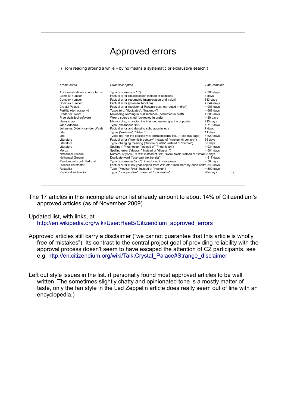|                                 | <b>Approved errors</b>                                                               |               |    |
|---------------------------------|--------------------------------------------------------------------------------------|---------------|----|
|                                 | (From reading around a while - by no means a systematic or exhaustive search:)       |               |    |
| Article name                    | Error description                                                                    | Time remainin |    |
| Accidental release source terms | Typo (extraneuous "[[")                                                              | $>$ 306 days  |    |
| Complex number                  | Factual error (multiplication instead of addition)                                   | 3 days        |    |
| Complex number                  | Factual error (geometric interpretation of division)                                 | 813 days      |    |
| Complex number                  | Factual error (potential function)                                                   | $> 844$ days  |    |
| <b>Crystal Palace</b>           | Factual error (position of Paxton's bust, corrected in draft)                        | $>903$ days   |    |
| Fertility (demography)          | Typos (e.g. "flyctuated", "frquency")                                                | $>688$ days   |    |
| <b>Frederick Twort</b>          | Misleading wording in first sentence (corrected in draft)                            | > 888 days    |    |
| Free statistical software       | Wrong source cited (corrected in draft)                                              | $> 89$ days   |    |
| Henry's law                     | Mis-wording, changing the intended meaning to the opposite                           | 215 days      |    |
| Jane Addams                     | Typo (extraneous "in")                                                               | > 719 days    |    |
| Johannes Diderik van der Waals  | Factual error and dangling subclause in lede                                         | 7 days        |    |
| Life                            | Typos ("mainain", "Hebert", )                                                        | 11 days       |    |
| Life                            | Typos (in "For the possibility of extraterrestrial life", see talk page)             | $>629$ days   |    |
| Literature                      | Factual error ("twentieth century" instead of "nineteenth century")                  | 35 days       |    |
| Literature                      | Typo, changing meaning ("before or after" instead of "before")                       | 82 days       |    |
| Literature                      | Spelling ("Phoenecian" instead of "Phoenician")                                      | $> 934$ days  |    |
| Merox                           | Spelling error ("dagram" instead of "diagram")                                       | $> 501$ days  |    |
| Nathanael Greene                | Numerous typos (3x "it's" instead of "its", "more small" instead of "small(63 days   |               |    |
| Nathanael Greene                | Duplicate word ("oversaw the the trial")                                             | $> 817$ days  |    |
| Randomized controlled trial     | Typo (extraneous "and"), introduced in reapproval                                    | $> 56$ days   |    |
| <b>Richard Hofstadter</b>       | Factual error (PhD year, copied from WP, later fixed there by anon edit $>$ 340 days |               |    |
| Rottweiler                      | Typo ("Meckar River" instead of "Neckar")                                            | $> 500$ days  |    |
| Vertebral subluxation           | Typo ("coooperative" instead of "cooperative")                                       | 904 days      | 13 |

The 17 articles in this incomplete error list already amount to about 14% of Citizendium's approved articles (as of November 2009)

#### Updated list, with links, at

http://en.wikipedia.org/wiki/User:HaeB/Citizendium\_approved\_errors

Approved articles still carry a disclaimer ("we cannot guarantee that this article is wholly free of mistakes"). Its contrast to the central project goal of providing reliability with the approval process doesn't seem to have escaped the attention of CZ participants, see e.g. http://en.citizendium.org/wiki/Talk:Crystal\_Palace#Strange\_disclaimer

Left out style issues in the list. (I personally found most approved articles to be well written. The sometimes slightly chatty and opinionated tone is a mostly matter of taste, only the fan style in the Led Zeppelin article does really seem out of line with an encyclopedia.)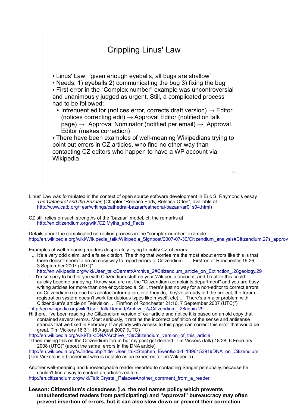

- Linus' Law was formulated in the context of open source software development in Eric S. Raymond's essay *The Cathedral and the Bazaar*, (Chapter "Release Early, Release Often", available at http://www.catb.org/~esr/writings/cathedral-bazaar/cathedral-bazaar/ar01s04.html)
- CZ still relies on such strengths of the "bazaar" model, cf. the remarks at http://en.citizendium.org/wiki/CZ:Myths\_and\_Facts

. Details about the complicated correction process in the "complex number" example: http://en.wikipedia.org/wiki/Wikipedia\_talk:Wikipedia\_Signpost/2007-07-30/Citizendium\_analysis#Citizendium.27s\_approv

Examples of well-meaning readers desperately trying to notify CZ of errors::

- ... It's a very odd claim, and a false citation. The thing that worries me the most about errors like this is that there doesn't seem to be an easy way to report errors to Citizendium. … Firsfron of Ronchester 19:26, 3 September 2007 (UTC)"
- http://en.wikipedia.org/wiki/User\_talk:Dematt/Archive\_2#Citizendium\_article\_on\_Extinction\_.28geology.29 "... I'm so sorry to bother you with Citizendium stuff on your Wikipedia account, and I realize this could
- quickly become annoying. I know you are not the "Citizendium complaints department" and you are busy writing articles for more than one encyclopedia. Still, there's just no way for a non-editor to correct errors on Citizendium (no-one has contact information, or if they do, they've already left the project; the forum registration system doesn't work for dubious types like myself, etc)... There's a major problem with Citizendium's article on Television … Firsfron of Ronchester 21:16, 7 September 2007 (UTC)") "http://en.wikipedia.org/wiki/User\_talk:Dematt/Archive\_2#Citizendium\_.28again.29
- Hi there, I've been reading the Citizendium version of our article and notice it is based on an old copy that contained several errors. Most seriously, it retains the incorrect definition of the sense and antisense strands that we fixed in February. If anybody with access to this page can correct this error that would be great. Tim Vickers 16:31, 16 August 2007 (UTC)

http://en.wikipedia.org/wiki/Talk:DNA/Archive\_13#Citizendium\_version\_of\_this\_article

"I tried raising this on the Citizendium forum but my post got deleted. Tim Vickers (talk) 18:28, 6 February 2008 (UTC)" (about the same errors in the DNA article)

http://en.wikipedia.org/w/index.php?title=User\_talk:Stephen\_Ewen&oldid=189615391#DNA\_on\_Citizendium (Tim Vickers is a biochemist who is notable as an expert editor on Wikipedia)

Another well-meaning and knowledgeable reader resorted to contacting Sanger personally, because he couldn't find a way to contact an article's editors:

http://en.citizendium.org/wiki/Talk:Crystal\_Palace#Another\_comment\_from\_a\_reader

**Lesson: Citizendium's closedness (i.e. the real names policy which prevents unauthenticated readers from participating) and "approval" bureaucracy may often prevent insertion of errors, but it can also slow down or prevent their correction**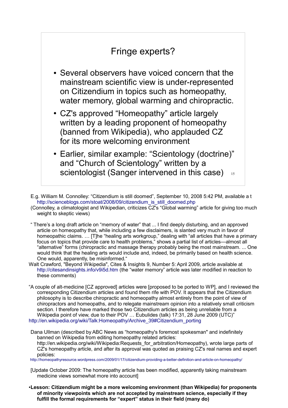### Fringe experts?

- Several observers have voiced concern that the mainstream scientific view is under-represented on Citizendium in topics such as homeopathy, water memory, global warming and chiropractic.
- CZ's approved "Homeopathy" article largely written by a leading proponent of homeopathy (banned from Wikipedia), who applauded CZ for its more welcoming environment
- 15 • Earlier, similar example: "Scientology (doctrine)" and "Church of Scientology" written by a scientologist (Sanger intervened in this case)

E.g. William M. Connolley: "Citizendium is still doomed", September 10, 2008 5:42 PM, available a t http://scienceblogs.com/stoat/2008/09/citizendium\_is\_still\_doomed.php

- (Connolley, a climatologist and Wikipedian, criticizes  $\overline{CZ}$ 's "Global warming" article for giving too much weight to skeptic views)
- " There's a long draft article on "memory of water" that ... I find deeply disturbing, and an approved article on homeopathy that, while including a few disclaimers, is slanted very much in favor of homeopathic claims. … [T]he "healing arts workgroup," dealing with "all articles that have a primary focus on topics that provide care to health problems," shows a partial list of articles—almost all "alternative" forms (chiropractic and massage therapy probably being the most mainstream. ... One would think that the healing arts would include and, indeed, be primarily based on health science. One would, apparently, be misinformed."
- Walt Crawford, "Beyond Wikipedia", Cites & Insights 9, Number 5: April 2009, article available at http://citesandinsights.info/v9i5d.htm (the "water memory" article was later modified in reaction to these comments)
- "A couple of alt-medicine [CZ approved] articles were [proposed to be ported to WP], and I reviewed the corresponding Citizendium articles and found them rife with POV. It appears that the Citizendium philosophy is to describe chiropractic and homeopathy almost entirely from the point of view of chiropractors and homeopaths, and to relegate mainstream opinion into a relatively small criticism section. I therefore have marked those two Citizendium articles as being unreliable from a Wikipedia point of view, due to their POV ... Eubulides (talk) 17:31, 28 June 2009 (UTC)" http://en.wikipedia.org/wiki/Talk:Homeopathy/Archive\_39#Citizendium\_porting

Dana Ullman (described by ABC News as "homeopathy's foremost spokesman" and indefinitely banned on Wikipedia from editing homeopathy related articles: http://en.wikipedia.org/wiki/Wikipedia:Requests\_for\_arbitration/Homeopathy), wrote large parts of CZ's homeopathy article, and after its approval was quoted as praising CZ's real names and expert policies:

http://homeopathyresource.wordpress.com/2009/01/17/citizendium-providing-a-better-definition-and-article-on-homeopathy/

- [Update October 2009: The homeopathy article has been modified, apparently taking mainstream medicine views somewhat more into account]
- ●**Lesson: Citizendium might be a more welcoming environment (than Wikipedia) for proponents of minority viewpoints which are not accepted by mainstream science, especially if they fulfill the formal requirements for "expert" status in their field (many do)**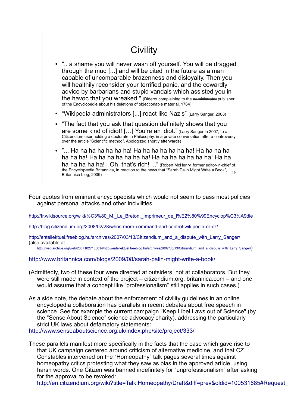### **Civility**

- ".. a shame you will never wash off yourself. You will be dragged through the mud [...] and will be cited in the future as a man capable of uncomparable brazenness and disloyalty. Then you will healthily reconsider your terrified panic, and the cowardly advice by barbarians and stupid vandals which assisted you in the havoc that you wreaked." (Diderot complaining to the administrator publisher of the Encyclopédie about his deletions of objectionable material, 1764)
- "Wikipedia administrators [...] react like Nazis" (Larry Sanger, 2008)
- "The fact that you ask that question definitely shows that you are some kind of idiot! […] You're an idiot." (Larry Sanger in 2007, to a Citizendium user holding a doctorate in Philosophy, in a private conversation after a controversy over the article "Scientific method". Apologized shortly afterwards)
- the Encyclopædia Britannica, in reaction to the news that "Sarah Palin Might Write a Book", 16<br>Britannica bles: 2000) • "... Ha ha ha ha ha ha ha! Ha ha ha ha ha ha! Ha ha ha ha ha ha ha ha! Ha ha ha ha ha ha ha! Ha ha ha ha ha ha ha! Ha ha ha ha ha ha ha! Oh, that's rich! ..." (Robert McHenry, former editor-in-chief of Britannica blog, 2009)

Four quotes from eminent encyclopedists which would not seem to pass most policies against personal attacks and other incivilities

http://fr.wikisource.org/wiki/%C3%80\_M.\_Le\_Breton,\_Imprimeur\_de\_l%E2%80%99Encyclop%C3%A9die

http://blog.citizendium.org/2008/02/28/whos-more-command-and-control-wikipedia-or-cz/

http://entellektuel.freeblog.hu/archives/2007/03/13/Citizendium\_and\_a\_dispute\_with\_Larry\_Sanger/ (also available at

http://web.archive.org/web/20071027103014/http://entellektuel.freeblog.hu/archives/2007/03/13/Citizendium\_and\_a\_dispute\_with\_Larry\_Sanger/)

#### http://www.britannica.com/blogs/2009/08/sarah-palin-might-write-a-book/

- (Admittedly, two of these four were directed at outsiders, not at collaborators. But they were still made in context of the project – citizendium.org, britannica.com – and one would assume that a concept like "professionalism" still applies in such cases.)
- As a side note, the debate about the enforcement of civility guidelines in an online encyclopedia collaboration has parallels in recent debates about free speech in science See for example the current campaign "Keep Libel Laws out of Science" (by the "Sense About Science" science advocacy charity), addressing the particularly strict UK laws about defamatory statements:

http://www.senseaboutscience.org.uk/index.php/site/project/333/

These parallels manifest more specifically in the facts that the case which gave rise to that UK campaign centered around criticism of alternative medicine, and that CZ Constables intervened on the "Homeopathy" talk pages several times against homeopathy critics protesting what they saw as bias in the approved article, using harsh words. One Citizen was banned indefinitely for "unprofessionalism" after asking for the approval to be revoked:

http://en.citizendium.org/wiki?title=Talk:Homeopathy/Draft&diff=prev&oldid=100531685#Request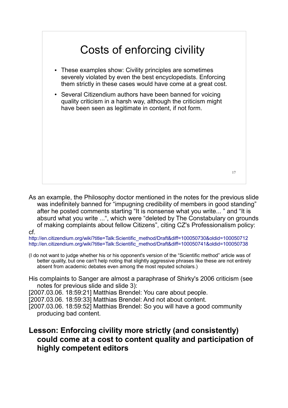

As an example, the Philosophy doctor mentioned in the notes for the previous slide was indefinitely banned for "impugning credibility of members in good standing" after he posted comments starting "It is nonsense what you write... " and "It is absurd what you write ...", which were "deleted by The Constabulary on grounds of making complaints about fellow Citizens", citing CZ's Professionalism policy: cf.

http://en.citizendium.org/wiki?title=Talk:Scientific\_method/Draft&diff=100050730&oldid=100050712 http://en.citizendium.org/wiki?title=Talk:Scientific\_method/Draft&diff=100050741&oldid=100050738

- (I do not want to judge whether his or his opponent's version of the "Scientific method" article was of better quality, but one can't help noting that slightly aggressive phrases like these are not entirely absent from academic debates even among the most reputed scholars.)
- His complaints to Sanger are almost a paraphrase of Shirky's 2006 criticism (see notes for previous slide and slide 3):

[2007.03.06. 18:59:21] Matthias Brendel: You care about people.

[2007.03.06. 18:59:33] Matthias Brendel: And not about content.

[2007.03.06. 18:59:52] Matthias Brendel: So you will have a good community producing bad content.

#### **Lesson: Enforcing civility more strictly (and consistently) could come at a cost to content quality and participation of highly competent editors**